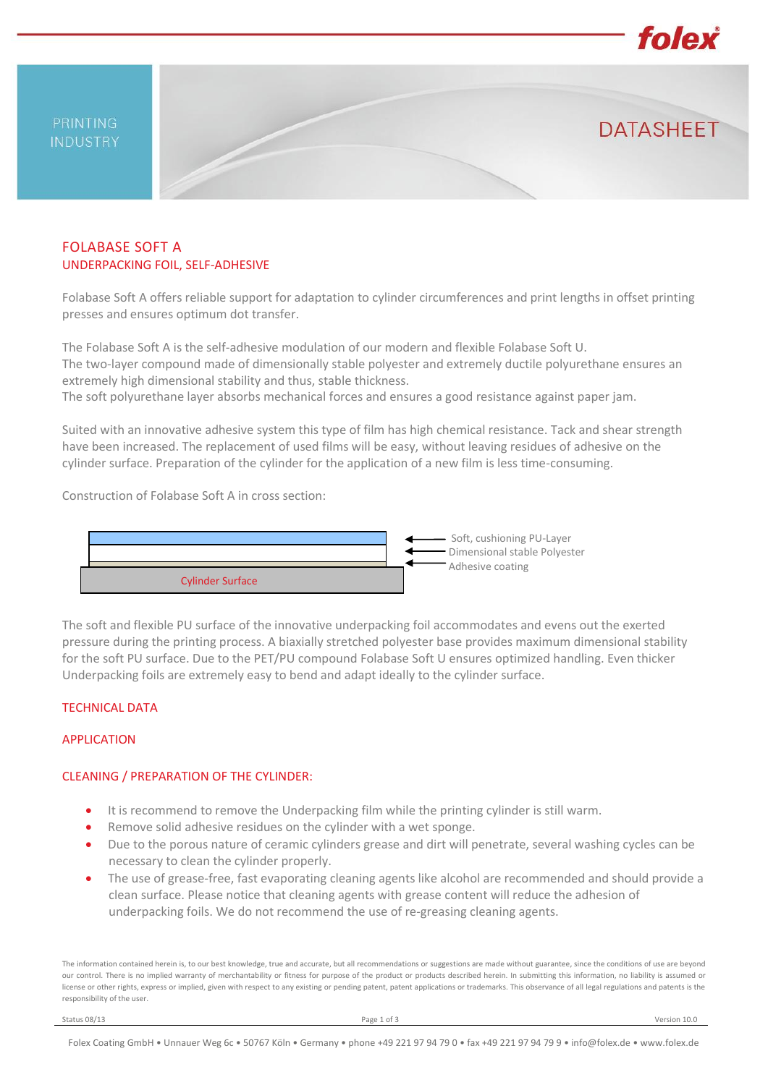PRINTING **INDUSTRY** 

# FOLABASE SOFT A UNDERPACKING FOIL, SELF-ADHESIVE

Folabase Soft A offers reliable support for adaptation to cylinder circumferences and print lengths in offset printing presses and ensures optimum dot transfer.

The Folabase Soft A is the self-adhesive modulation of our modern and flexible Folabase Soft U. The two-layer compound made of dimensionally stable polyester and extremely ductile polyurethane ensures an extremely high dimensional stability and thus, stable thickness.

The soft polyurethane layer absorbs mechanical forces and ensures a good resistance against paper jam.

Suited with an innovative adhesive system this type of film has high chemical resistance. Tack and shear strength have been increased. The replacement of used films will be easy, without leaving residues of adhesive on the cylinder surface. Preparation of the cylinder for the application of a new film is less time-consuming.

Construction of Folabase Soft A in cross section:



The soft and flexible PU surface of the innovative underpacking foil accommodates and evens out the exerted pressure during the printing process. A biaxially stretched polyester base provides maximum dimensional stability for the soft PU surface. Due to the PET/PU compound Folabase Soft U ensures optimized handling. Even thicker Underpacking foils are extremely easy to bend and adapt ideally to the cylinder surface.

#### TECHNICAL DATA

### APPLICATION

#### CLEANING / PREPARATION OF THE CYLINDER:

- It is recommend to remove the Underpacking film while the printing cylinder is still warm.
- Remove solid adhesive residues on the cylinder with a wet sponge.
- Due to the porous nature of ceramic cylinders grease and dirt will penetrate, several washing cycles can be necessary to clean the cylinder properly.
- The use of grease-free, fast evaporating cleaning agents like alcohol are recommended and should provide a clean surface. Please notice that cleaning agents with grease content will reduce the adhesion of underpacking foils. We do not recommend the use of re-greasing cleaning agents.

The information contained herein is, to our best knowledge, true and accurate, but all recommendations or suggestions are made without guarantee, since the conditions of use are beyond our control. There is no implied warranty of merchantability or fitness for purpose of the product or products described herein. In submitting this information, no liability is assumed or license or other rights, express or implied, given with respect to any existing or pending patent, patent applications or trademarks. This observance of all legal regulations and patents is the responsibility of the user.

folex

**DATASHFFT**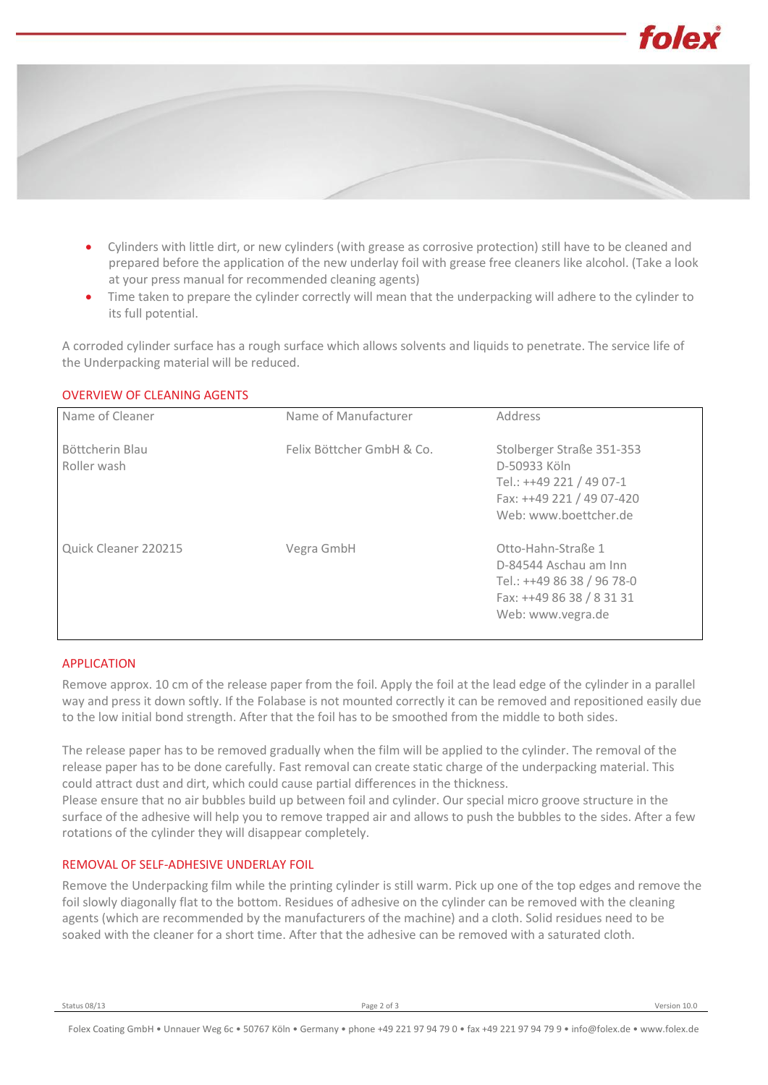

- Cylinders with little dirt, or new cylinders (with grease as corrosive protection) still have to be cleaned and prepared before the application of the new underlay foil with grease free cleaners like alcohol. (Take a look at your press manual for recommended cleaning agents)
- Time taken to prepare the cylinder correctly will mean that the underpacking will adhere to the cylinder to its full potential.

A corroded cylinder surface has a rough surface which allows solvents and liquids to penetrate. The service life of the Underpacking material will be reduced.

| <b>OVERVIEW OF CLEANING AGENTS</b> |  |
|------------------------------------|--|
|                                    |  |

| Name of Cleaner                | Name of Manufacturer      | Address                                                                                                                     |
|--------------------------------|---------------------------|-----------------------------------------------------------------------------------------------------------------------------|
| Böttcherin Blau<br>Roller wash | Felix Böttcher GmbH & Co. | Stolberger Straße 351-353<br>D-50933 Köln<br>Tel.: ++49 221 / 49 07-1<br>Fax: ++49 221 / 49 07-420<br>Web: www.boettcher.de |
| Quick Cleaner 220215           | Vegra GmbH                | Otto-Hahn-Straße 1<br>D-84544 Aschau am Inn<br>Tel.: ++49 86 38 / 96 78-0<br>Fax: ++49 86 38 / 8 31 31<br>Web: www.vegra.de |

#### APPLICATION

Remove approx. 10 cm of the release paper from the foil. Apply the foil at the lead edge of the cylinder in a parallel way and press it down softly. If the Folabase is not mounted correctly it can be removed and repositioned easily due to the low initial bond strength. After that the foil has to be smoothed from the middle to both sides.

The release paper has to be removed gradually when the film will be applied to the cylinder. The removal of the release paper has to be done carefully. Fast removal can create static charge of the underpacking material. This could attract dust and dirt, which could cause partial differences in the thickness.

Please ensure that no air bubbles build up between foil and cylinder. Our special micro groove structure in the surface of the adhesive will help you to remove trapped air and allows to push the bubbles to the sides. After a few rotations of the cylinder they will disappear completely.

#### REMOVAL OF SELF-ADHESIVE UNDERLAY FOIL

Remove the Underpacking film while the printing cylinder is still warm. Pick up one of the top edges and remove the foil slowly diagonally flat to the bottom. Residues of adhesive on the cylinder can be removed with the cleaning agents (which are recommended by the manufacturers of the machine) and a cloth. Solid residues need to be soaked with the cleaner for a short time. After that the adhesive can be removed with a saturated cloth.